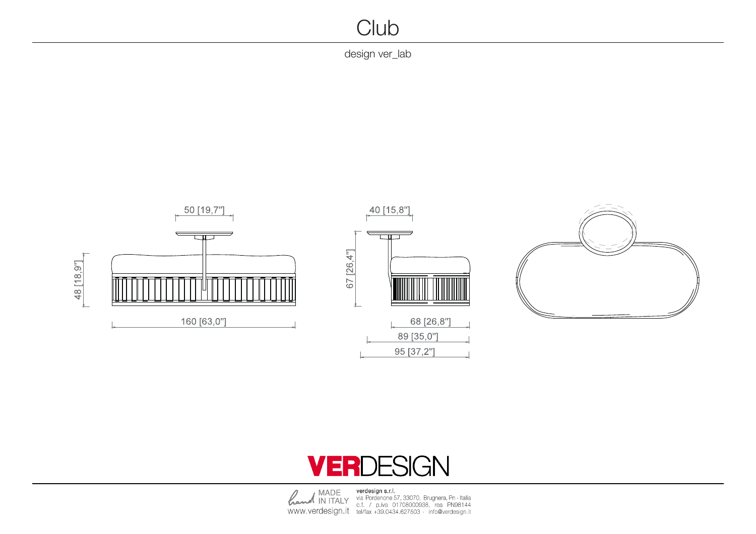## **Club**

design ver\_lab - design ver\_lab - design ver\_lab - design ver $\pm$ lab - design ver $\pm$ lab - design ver $\pm$ lab - design ver $\pm$ lab - design ver $\pm$ lab - design ver $\pm$ lab - design ver $\pm$ lab - design ver $\pm$ lab - design ver



## **VERDESIGN**